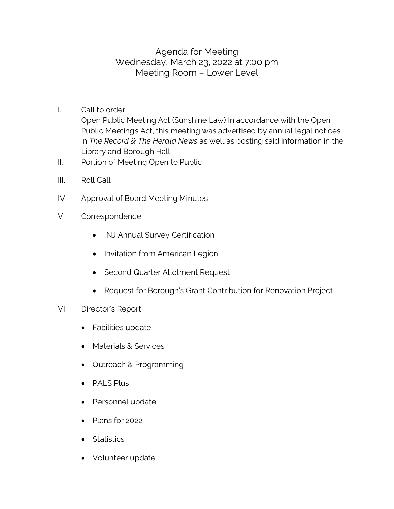## Agenda for Meeting Wednesday, March 23, 2022 at 7:00 pm Meeting Room – Lower Level

- I. Call to order Open Public Meeting Act (Sunshine Law) In accordance with the Open Public Meetings Act, this meeting was advertised by annual legal notices in *The Record & The Herald News* as well as posting said information in the Library and Borough Hall.
- II. Portion of Meeting Open to Public
- III. Roll Call
- IV. Approval of Board Meeting Minutes
- V. Correspondence
	- NJ Annual Survey Certification
	- Invitation from American Legion
	- Second Quarter Allotment Request
	- Request for Borough's Grant Contribution for Renovation Project
- VI. Director's Report
	- Facilities update
	- Materials & Services
	- Outreach & Programming
	- PALS Plus
	- Personnel update
	- Plans for 2022
	- Statistics
	- Volunteer update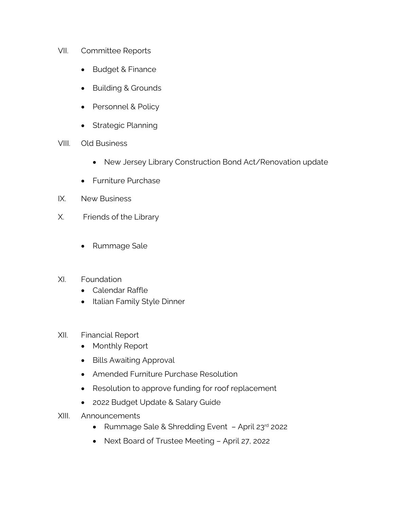- VII. Committee Reports
	- Budget & Finance
	- Building & Grounds
	- Personnel & Policy
	- Strategic Planning
- VIII. Old Business
	- New Jersey Library Construction Bond Act/Renovation update
	- Furniture Purchase
- IX. New Business
- X. Friends of the Library
	- Rummage Sale
- XI. Foundation
	- Calendar Raffle
	- Italian Family Style Dinner
- XII. Financial Report
	- Monthly Report
	- Bills Awaiting Approval
	- Amended Furniture Purchase Resolution
	- Resolution to approve funding for roof replacement
	- 2022 Budget Update & Salary Guide
- XIII. Announcements
	- Rummage Sale & Shredding Event April 23rd 2022
	- Next Board of Trustee Meeting April 27, 2022